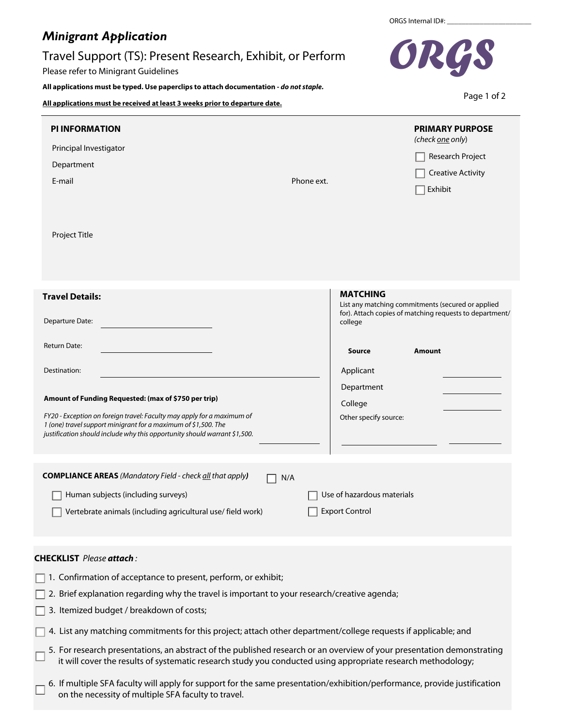## *Minigrant Application*

## Travel Support (TS): Present Research, Exhibit, or Perform

Please refer to Minigrant Guidelines

**All applications must be typed. Use paperclips to attach documentation -** *do not staple.*

**All applications must be received at least 3 weeks prior to departure date.**

| <b>PI INFORMATION</b><br>Principal Investigator<br>Department<br>E-mail<br>Project Title                                                                                                                                                                                                                                                                   | <b>PRIMARY PURPOSE</b><br>(check one only)<br>Research Project<br><b>Creative Activity</b><br>Phone ext.<br>Exhibit                                                                                                           |  |
|------------------------------------------------------------------------------------------------------------------------------------------------------------------------------------------------------------------------------------------------------------------------------------------------------------------------------------------------------------|-------------------------------------------------------------------------------------------------------------------------------------------------------------------------------------------------------------------------------|--|
| <b>Travel Details:</b><br>Departure Date:<br>Return Date:<br>Destination:<br>Amount of Funding Requested: (max of \$750 per trip)<br>FY20 - Exception on foreign travel: Faculty may apply for a maximum of<br>1 (one) travel support minigrant for a maximum of \$1,500. The<br>justification should include why this opportunity should warrant \$1,500. | <b>MATCHING</b><br>List any matching commitments (secured or applied<br>for). Attach copies of matching requests to department/<br>college<br>Source<br>Amount<br>Applicant<br>Department<br>College<br>Other specify source: |  |
| <b>COMPLIANCE AREAS</b> (Mandatory Field - check all that apply)<br>N/A<br>Human subjects (including surveys)<br>Vertebrate animals (including agricultural use/ field work)                                                                                                                                                                               | Use of hazardous materials<br><b>Export Control</b>                                                                                                                                                                           |  |
| <b>CHECKLIST</b> Please attach:<br>1. Confirmation of acceptance to present, perform, or exhibit;                                                                                                                                                                                                                                                          |                                                                                                                                                                                                                               |  |

- $\Box$  2. Brief explanation regarding why the travel is important to your research/creative agenda;
- 3. Itemized budget / breakdown of costs; ヿ

 $\sqrt{ }$ 

- 4. List any matching commitments for this project; attach other department/college requests if applicable; and
- 5. For research presentations, an abstract of the published research or an overview of your presentation demonstrating it will cover the results of systematic research study you conducted using appropriate research methodology;
- 6. If multiple SFA faculty will apply for support for the same presentation/exhibition/performance, provide justification on the necessity of multiple SFA faculty to travel.

ORGS Internal ID#:



Page 1 of 2